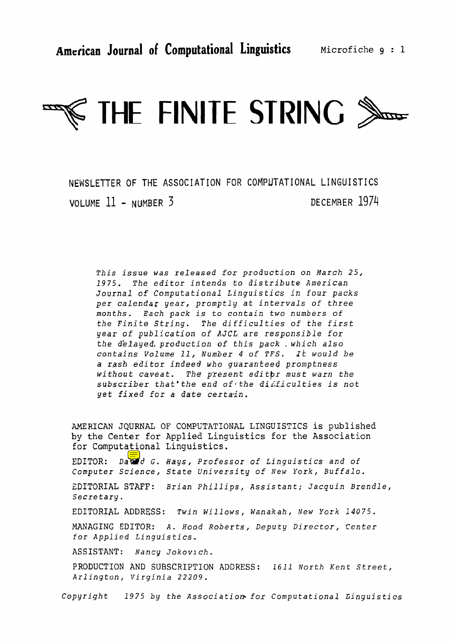

NEWSLETTER OF THE **ASSOCIATION** FOR **COMPUTATIONAL LINGUISTICS**  VOLUME 11 - NUMBER 3 DECEMBER 1974

**This issue** was *released for production an* **March** *25, 1975. The editor intends to* **distribute American Journal** of *Computational Linguistics in four packs per* **calendar** year, *promptly at intervals of three*  **months.** *Each* **pack** is *to contain* **two** *numbers* **of**  *the* **Finite** *String. The difficulties* **of** *the* **first**  year **of** *publication* **of AJCL** are **responsible** *for the d'elayed, production* **of** *this ~ack* , *which also contains Volume 11, Number 4* **of** *TFS.* ~k *would be a rash editor indeed who guaranteed promptness without* **caveat.** *The present editbr* **must** *warn* **the subscriber** *that'the end of the diLf.iculti-es* **is not**  yet *fixed* for *a date certa.in.* 

**AMERICAN** JQURNAL **OF** COMPL'TATIONAL LINGUISTICS **is published**  by **the** Center for **Applied** Linguistics for **the Association**  for **Computational** Linguistics. **EDITOR: Da** @ <sup>d</sup>**G. Bays,** *Professor* **of Linguistics and of**  *Computer* **Science,** State *University* of *New York, Buffalo.*  **ZDITORIAL** *STAFF: Brian Phillips, Assistant; Jacquin Brendle,*  Secretary. *EDITORIAL ADDRESS: Twin Willows, Wanakah, New York 14075.*  **MANAGING** *EDITOR:* **A.** *Hood Roberts, Deputy Director,* **Center**  *for Applied Linguistics.*  **ASSISTANT:** Nancy *Jokovl ch* . PRODUCTION **AND** SUBSCRIPTION **ADDRESS:** 1611 *North* Kent *Street, Arlington,* Virginia *22209.* 

*Copyright 1975 by the* **Associatiom** *for Computational L;inguistics*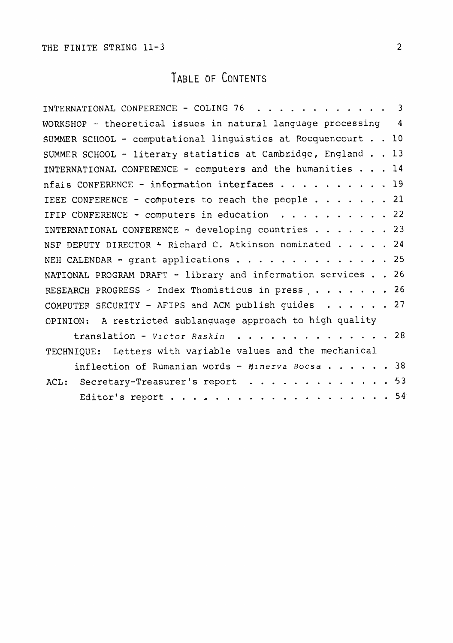### TABLE OF CONTENTS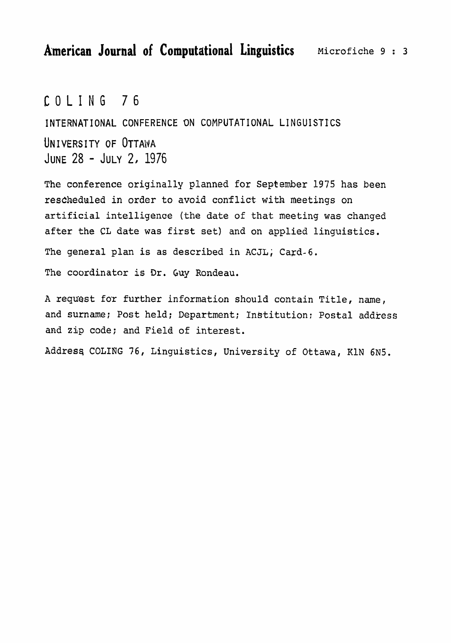### COLING 76

**INTERNATIONAL** CONFERENCE **ON COMPUTATIONAL LINGUISTICS**  UNIVERSITY OF OTTAWA JUNE 28 - JULY 2, 1976

The conference **originally** planned for September 1975 has been **rescheduled in order to avoid conflict with meetings on**  artificial **intelligence (the date of that meeting was** changed after **the CL date was** first **set) and on applied linguistics. The** general **plan is** as described **in** ACJL; **Card-6.**  The coordinator **is Dr. Guy** Rondeau.

**A request** for further **information** should **contain Title,** name, **and** surname; **Post** held; Department; InStitution: **Postal** address and **zip** code; **and** Field of interest.

**Addresq COLING 76, Linguistics, University of Ottawa,** KIN **6N5.**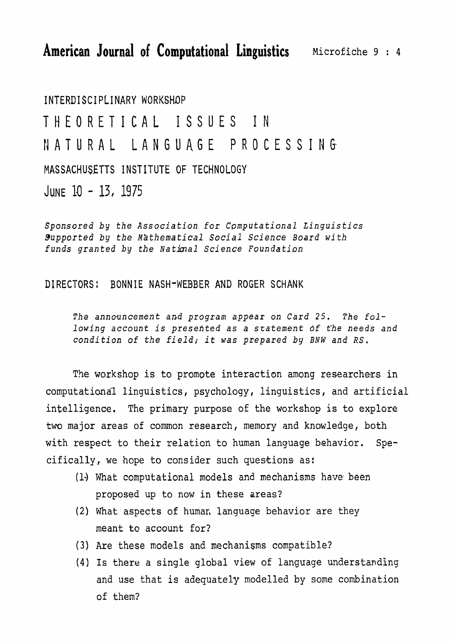# **INTERDISCIPLINARY** WORKSHOP THEORETICAL ISSUES **IN**  NATURAL LANGUAGE PROCESSING MASSACHUSETTS **INSTITUTE** OF TECHNOLOGY JUNE  $10 - 13$ , 1975

Sponsored by the Association for *Computational Linguistics* Supported by *the Mathematical Social* **Science** Board **with**  funds granted by the National Science Foundation

#### **DIRECTORS** : **BONNIE** NASH-WEBBER AND ROGER SCHANK

*The announcement* and *program* appear *on Card 25. The* **following account** is presented as a sratement **bf** *the* needs and condition of the *field;* **it was** *prepared* **by** *BNW and* **RS.** 

The workshop is to promote interaction among researchers **in**  computational linguistics, psychology, linguistics, and artificial intelligence. The primary purpose of the workshop is to explore two major areas of common research, **memory** and knowledge, both with respect to their relation to human language behavior. Specifically, we hope to consider such questions as:

- **(1.)** What **computational models** and mechanisms have been proposed up to now in these areas?
- $(2)$  What aspects of human language behavior are they **meant** to account for?
- (3) Are these models and mechanisms compatible?
- **(4) Is** there a **single** global **view** of language understanding and use that is adequately modelled by some combination of them?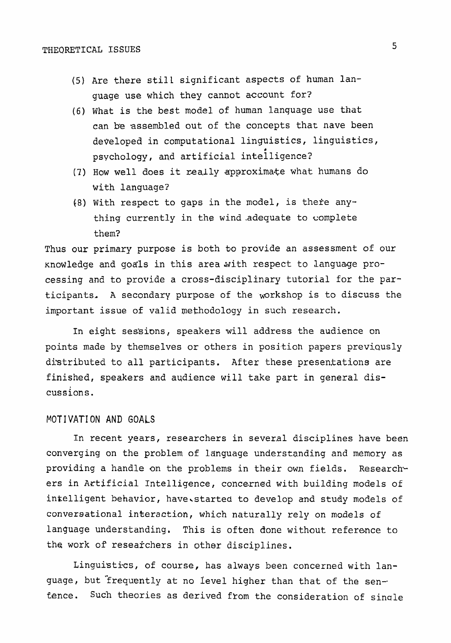- (5) **Are** there **still significant aspects of human language use which they cannot** account **for?**
- **(6) What is the best model of human lanquage use that can be assembled out of the** concepts that **nave been developed in computational linguistics, linguistics, P psychology, and artificial intelligence?**
- (7) How well does it really approximate what humans do with language?
- (8) With **respect to** gaps **in** the **model,** is thefe **anything currently in the** wind-adequate to complete them?

**Thus our primary purpose is both to provide an assessment of our**  knowledge and goals in this area with respect to language pro**cessing and to provide a cross-disciplinary tutorial** for the par**ticipants. <sup>A</sup>**secondary purpose of the ~orkshop is to discuss **the important issue of valid** methodology **in such** research.

**In eight ses:sisions,** speakers **will address** the audience **on**  points made by themselves or others in position papers previously distributed to all **participants.** After these presentations **are finished, speakers and audience will take part in general** dis**cussions.** 

#### MOT I VAT1 ON **AND** GOALS

In recent **years,** researchers in **several disciplines have** been converging on the **problem of language understanding and memory as providing a handle** on **the problems** in **their own fields. Research**ers in Artificial Intelligence, concerned with building models of **intelligent behavior, have.started to develop and study models of conversational interaction, which naturally rely on** models of language **understanding.** This is **often done without reference to the work of researchers in other disciplines.** 

Linguistics, of course, has always been concerned with lan**guage, but** "frequently **at no level higher than that** of the **sen-.**  fence. Such theories as derived from the consideration of single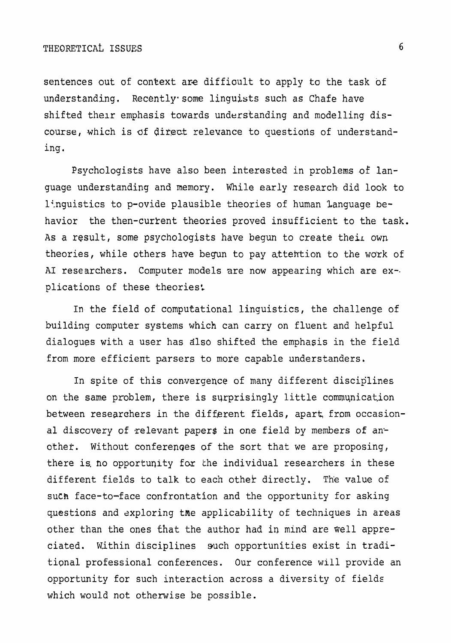sentences out of context are diffioult to apply to the task of understanding. Recently some linguists such as Chafe have shifted their emphasis towards understanding and modelling discourse, which is of direct relevance to questions of understanding.

Psychologists have also been interested in problems of language understanding and memory. While early research did look to linguistics to p-ovide plausible theories of human language behavior the then-curtent theories proved insufficient to the task. As a result, some psychologists have begun to create their own theories, while others have begun to pay attention to the work of **A1** researchers. Computer models are now appearing which are ex-. plications of these theories:

In the field of computational linguistics, the challenge of building computer systems which can carry on fluent and helpful dialogues with a user has dlso shifted the emphasis in the field from more efficient parsers to more capable understanders.

In spite of this convergence of many different disciplines on the **same** problem, there is **sqrprisingly** little communicat.ion between researchers in the different fields, apart, **from** occasional discovery of relevant papers in one field by members of another. Without conferenqes of the sort that we are proposing, there is no opportunity for the individual researchers in these different fields to talk to each other directly. The value of such face-to-face confrontation and the opportunity for asking **questions** and sxploring tne applicability of techniques in areas other than the ones that the author had in mind are **well** appreciated. Wjthin disciplines such opportunities exist in traditional professional conferences. Our conference will provide an opportunity for such interaction across a diversity of fields which would not otherwise be possible.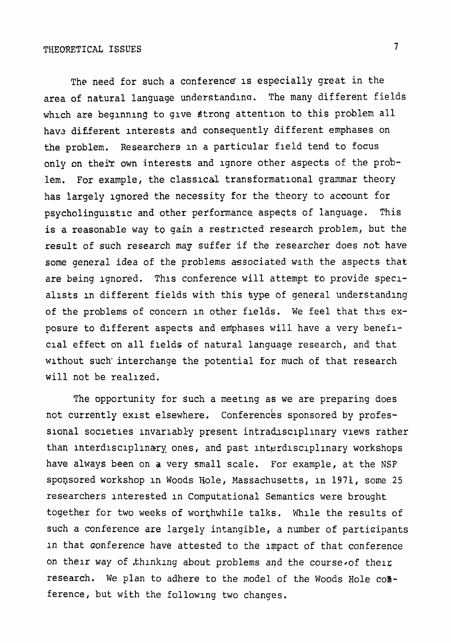The need for **such a conference' is especially** great in the **area of natural language** understandlnu. The many **different** fields **whlch are** beginning to **glve Strong** attention **to** this problem all **havz** different **interests and consequently** different **emphases on**  the problem. Researchers **in a particular** field tend **to focus**  only on their own **interests and** ignore other aspects of the problem. For example, the classical transformational grammar theory **has** largely ignored the necessity for the theory to account **for psycholinguistic and other performance aspects of language. This** is a reasonable way to gain a restricted research problem, but the result of **such** research mag suffer **if** the researcher does *not* have **some general** idea of the **problems** associated wsth the **aspects** that are **being** ignored. **Thls** conference **will attempt** to provide speclallsts **in** different fields with this type of **general** understanding of the problems of concern **in** other flelds. We feel that thrs **ex**posure **to** different aspects and enfphases **will have a** very benefl**clal** effect on all flelds of **natural language** research, and that wlthout such'interchange the **potential** for much of that research will not be realized.

The opportunity for such a meeting as we are preparing does not currently exist elsewhere. Conferences sponsored by professional socletles invarlabky **present intradlsclpllnary news** rather than interdlsclpl~nary. ones, and past **interdlsclpllnary** workshops have **always been on a** very **small** scale. For example, at the **NSF spoqsored workshop in Woods** Hole, **Massachusetts,** in **1971, some** 25 researchers interested in **Computational Semantics** were brought together for **two** weeks of **worthwhile** talks. **Wh~le** the results of **such** a conference are largely **intangible,** a number of **partioipants In** that oonference have attested to the lmpact of that conference **on thelr** way of **thlnklng** about problems aqd the course~of thelz **research.** We plan to adhere to the model of the **Woods** Hole cob ference, but **with** the following two changes.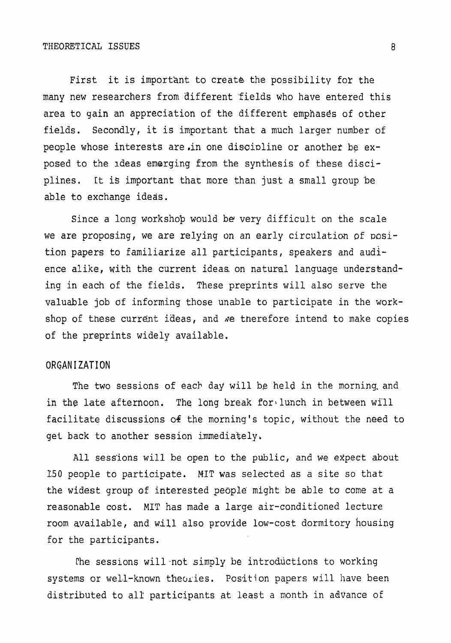#### **THEORETICAL ISSUES**

First it is important to create the possibility for the **many new** researchers from different 'fields who have entered **this area to gain** an appreciation of the different **emphases of** other fields. **Secondly, it is important that a** much larger **number** of people whose interests are **.in** one discioline or **another** be exposed to the ideas emerging from the synthesis of these disciplines. It **is** important that more **than just a small group 'be able to exchange ideas.** 

ence alike, with the current ideas on natural language understand ing in each of the fields. These preprints will also serve the Since a long workshop would be very difficult on the scale re proposing, we are relying on an early circulation of posipapers to familiarize all participants, speakers and audivaluable job of informing those unable to participate **in** the **work**shop of these current ideas, and we therefore intend to make copies of the preprints widely available.

#### **ORGANIZATION**

The two sessions of each day will be held in the morning and **in** the **late** afternoon. The long **break** for\ **lunch in** between wfll facilitate **discussions 04 the morning's** topic, without the need to get back to another **session immediately.** 

All sess'ions **will** be open to the public, and **we** expect about I50 people to participate. MIT was selected as a site so that the widest group of **interested** people. might be able to come at a reasonable cost. MIT has **made a large air-conditioned lecture**  room **available,** and will also provide low-cost dormitory housing for the participants.

The sessions will not simply be introductions to working  $s$ ystems or well-known theories. Position papers will have been distributed to all' participants at least a **nonth** in advance of

8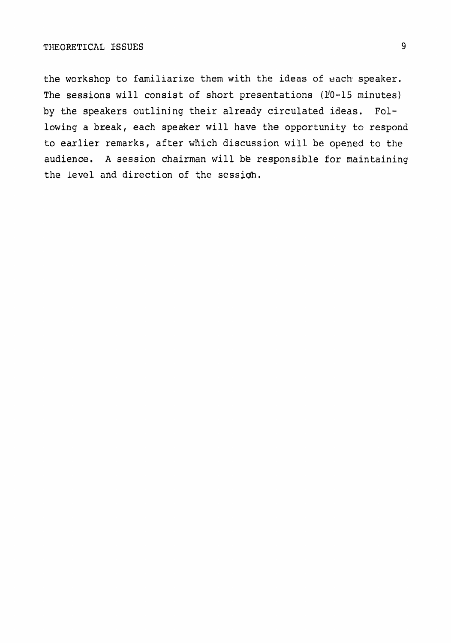the workshop to familiarize them with the ideas of each speaker. **The sessions will consist of short presentations** (1'0-15 minutes) **by** the speakers **outlining** their **already** circulated ideas. **Following a break,** each speaker **will** have the **opportunity to respond to earlier remarks, after which discussion will** be opened to the **audience. A session chairman will** *bB* **responsible for maintaining**  the Level and direction of the session.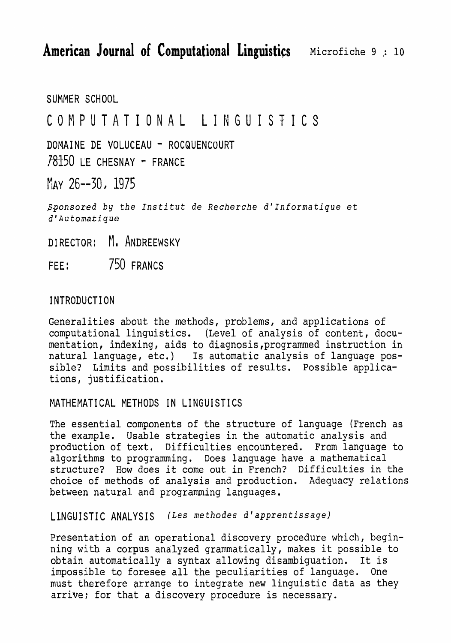SUMMER SCHOOL

### COMPUTATIONAL LINGUISTICS

**DOMAI** NE **DE** VOLUCEAU - ROCQUENCOURT 78150 LE CHESNAY - FRANCE

May 26--30, 1975

*Sponsored by the Institut de Recherche d'Informatique et d 'Automa-tique* 

DIRECTOR: M. ANDREEWSKY

FEE: 750 FRANCS

### 1 **NTRODUCTI** ON

Generalities about the methods, problems, and applications of computational linguistics. (Level of analysis of content, documentation, indexing, aids to diagnosis ,programmed instruction in natural language, etc.) Is automatic analysis of language possible? Limits and possibilities of results. Possible applications, justification.

MATHERATICAL METHODS IN **LINGUISTICS** 

The essential components of the structure of language (French as the example. Usable strategies in the automatic analysis and production of text. Difficulties encountered. From language to algorithms to programming. Does language have a mathematical structure? How does it come out in French? Difficulties in the choice of methods of analysis and production. Adequacy relations between natural and programming languages.

LINGUISTIC ANALYSIS (Les methodes d'apprentissage)

Presentation of an operational discovery procedure which, beginning with a corpus analyzed grammatically, makes it possible to obtain automatically a syntax allowing disambiguation. It is impossible to foresee all the peculiarities of language. One **must** therefore arrange to integrate **new** linguistic data as they arrive; for that a discovery procedure is necessary.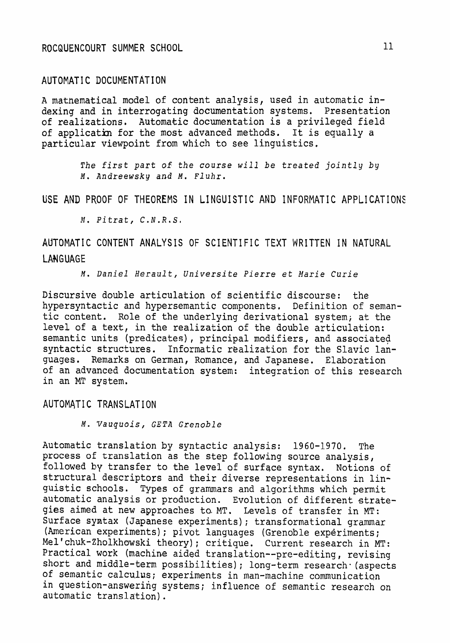#### AUTOMATIC **DOCUMENTATION**

**A** mathematical model of content analysis, used in automatic indexing and in interrogating documentation systems. Presentation of realizations. Automatic documentation is a privileged field of application for the most advanced methods. It is equally a particular viewpoint from which to see linguistics.

> The first part **of** *the course will* **be** *treated* jointly **by M.** Andreewsky **and M.** *Fluhr,*

USE **AND** PROOF **OF THEOREMS IN LINGUISTIC AND INFORMATIC APPLICATIONS** 

*!I, Pitrat, C.N.R,S,* 

AUTOMATIC CONTENT ANALYSIS OF SCIENTIFIC TEXT WRITTEN IN NATURAL **LANGUAGE** 

**M.** *Daniel Herault, Universite Pierre* et Marie *Curie* 

Discursive **double** articulation of scientific discourse: the hypersyntactic and hypersemantic components. **Definition** of semantic content. Role of the underlying derivational system; at the Level of a text, in the realization of the double articulation: semantic **units** (predicates), principal modifiers, and associated syntactic structures. Informatic realization for the Slavic languages. Remarks on German, Romance, and **Japanese.** Elaboration of an advanced documentation system: integration of this research in an MT system.

#### AUTOMATIC TRANSLATION

**M.** Yauqtlois, **GETA** *~renob2e* 

Automatic translation by syntactic analysis: 1960-1970. The process of translation as the step following source analysis, followed by transfer to the level of surface syntax. Notions of structural descriptors and their diverse representations in linguistic schools. Types of **grammars** and **algorithms which permit**  automatic analysis or production. Evolution of different strategies aimed at new approaches to.MT. Levels of transfer **in MT:**  Surface syntax (Japanese experiments); transformational grammar (American experiments) ; pivot languages (Grenoble experiments; **Mel'chuk-Zholkhawski** theory); **critique.** Current research in MT: Practical work (machine aided **translation--pre-editing** , revising short and middle-term possibilities); long-term research (aspects of semantic calculus; experiments in man-machine communication in question-answering systems; influence of semantic research on automatic translation).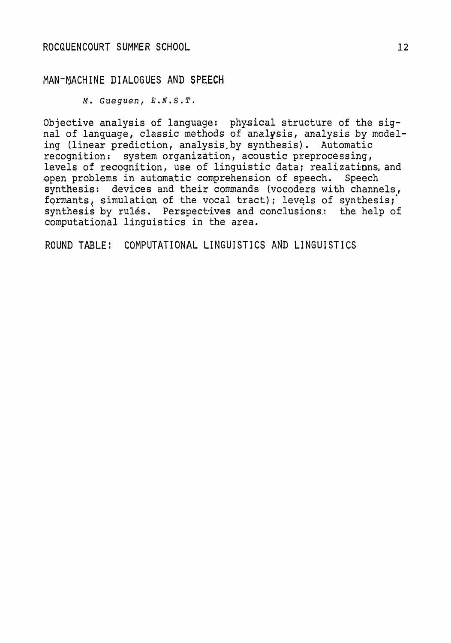#### **MAN-MACHINE DIALOGUES AND SPEECH**

**M.** *Gueguen,* **E.N.S.T.** 

**Objective analysis of language: physical** structure **of** the **sig**nal of language, classic **methods** of **analysis, analysis by** rnodel**ing** (linear **prediction, analysis, by synthesis)** . **Automatic requision:** system organization, acoustic preprocessing, **levels** of **recognition, use** of **linguistic data; realizatinns. and**  Qpen **problems** in automatic **comprehension** of **speech.** Speech **synthesis: devices** and **their commands** (vocoders **with channels, formants, simulation of the** vocal tract); levqls of **synthesis;' synthesis** by rules. **Perspectives** and **conclusions.:** the help of computational **linguistics in** the area.

**ROUND TABLE** : **COMPUTATIONAL LINGUI ST1 CS AND LI** NGUI **ST1** CS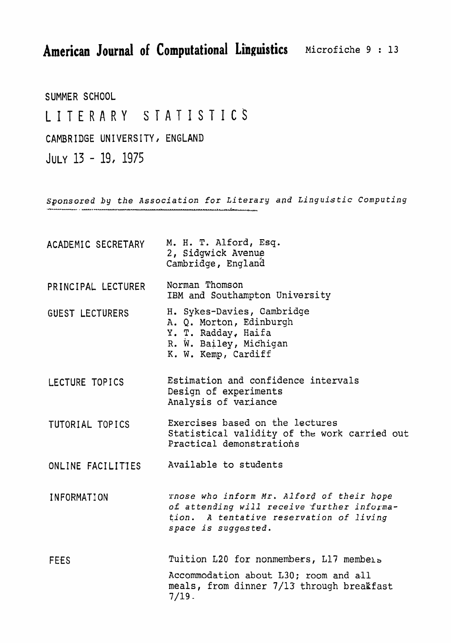**American Journal of Computational Linguistics** 

SUMMER SCHOOL

## LITERARY **STATISTICS**

**CAMBRIDGE UNIVERSITY,** ENGLAND

 $JULTY}$  13 - 19, 1975

sponsored **by the** Association for Literary *apd* Linguistic **Computing**  -- - , **U..-U** .

| ACADEMIC SECRETARY     | M. H. T. Alford, Esq.<br>2, Sidgwick Avenue<br>Cambridge, England                                                                                         |
|------------------------|-----------------------------------------------------------------------------------------------------------------------------------------------------------|
| PRINCIPAL LECTURER     | Norman Thomson<br>IBM and Southampton University                                                                                                          |
| <b>GUEST LECTURERS</b> | H. Sykes-Davies, Cambridge<br>A. Q. Morton, Edinburgh<br>Y. T. Radday, Haifa<br>R. W. Bailey, Michigan<br>K. W. Kemp, Cardiff                             |
| LECTURE TOPICS         | Estimation and confidence intervals<br>Design of experiments<br>Analysis of variance                                                                      |
| TUTORIAL TOPICS        | Exercises based on the lectures<br>Statistical validity of the work carried out<br>Practical demonstrations                                               |
| ONLINE FACILITIES      | Available to students                                                                                                                                     |
| INFORMATION            | rnose who inform Mr. Alford of their hope<br>of attending will receive further informa-<br>tion. A tentative reservation of living<br>space is suggested. |
| <b>FEES</b>            | Tuition L20 for nonmembers, L17 members                                                                                                                   |
|                        | Accommodation about L30; room and all<br>meals, from dinner 7/13 through breakfast<br>$7/19$ .                                                            |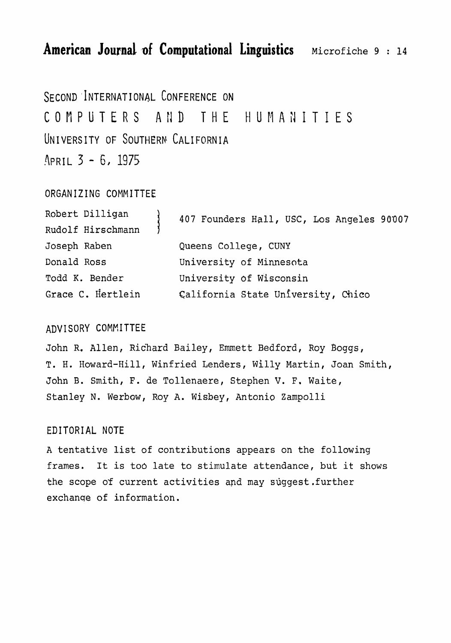SECOND INTERNATIONAL CONFERENCE ON COMPUTERS AND THE HUMANITIES **UN** I VERS ITY **OF** SOUTHERN CALI FORN IA APRIL 3 - 6, 1975

#### **ORGANIZING** COMMITTEE

| Robert Dilligan   | 407 Founders Hall, USC, Los Angeles 90007 |
|-------------------|-------------------------------------------|
| Rudolf Hirschmann |                                           |
| Joseph Raben      | Queens College, CUNY                      |
| Donald Ross       | University of Minnesota                   |
| Todd K. Bender    | University of Wisconsin                   |
| Grace C. Hertlein | California State University, Chico        |

#### ADVISORY **COMHITTEE**

John R. Allen, Richard Bailey, Emmett Bedford, Roy Boggs, **T.** H. Howard-Hill, Winfried **Lenders,** illy Martin, Joan Smith, John B. Smith, F. de **Tollenaere, Stephen** V. **F. Waite, Stanley** N. Werbow, Roy A. Wisbey, **Antonio** Zampolli

#### **EDITORIAL NOTE**

**A tentative list of contributions** appears **on the following frames.** It **is** to6 late to stimulate attendance, but **it shows**  the scope of current activities and may suggest.further exchanse of **information.**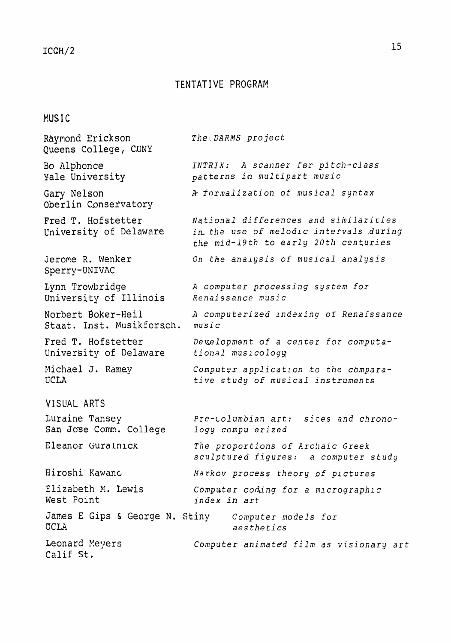#### TENTATIVE PROGRAM

#### MUSIC

Raymond **Erickson**  *The;* DARMS **project Queens College, CUNY**  *INTRIX:* **A** scdnner **for pitch-class**  Bo Alphonce **pat terns** ia *multipart music*  Yale **University**  Gary **Nelson Jk** *formalization* of **musical** syntax **Oberlin Conservatory** *National differences and* similari *ties*  Fred **T. Hofstetter tniversity** of Delaware in, *the use* of *melodlc* intervals **,during**  the *mid-19th to early* **20th centuries**  Jerome R. Wenker **On** *the* analysis of *musical* analysis Sperry-UNIVAC *A computer processing system* **for Lynn Trowbridge University** of **Illinois**   $R$ enaissance music Norbert Baker-Meil *.A computerized* lndexing *of* Renaissance Staat. Inst. **Musikforsch.**   $m$ usic Fred **T.** Hofstetter *De~~elopment* **of** *a center for computa-***University** of Delaware *tional musicology*  Michael J. Ramey Computer application to the compara-**UC LA**  *tive study of* **musical** *instruments*  VISUAL ARTS Luraine Tansey Pre-columbian art: sites and chrono-San Jose Comm. College logy *compu erized*  Eleanor Gurainick *The proportions of Archaic Greek sculptured figures: a computer study*  Iiiroshi **Xawanc** *Markov process theory* of *plctures*  **Elizabeth** M. Lewis *Computer cod,ing* **for** *a rnlcrographlc*  West Point **index in** *art*  **James** E Gips & George **N. Stiny Computer models for**  CCLA **aesthetics**  Leonard Meyers **computer animated film as visionary art** Calif *St.*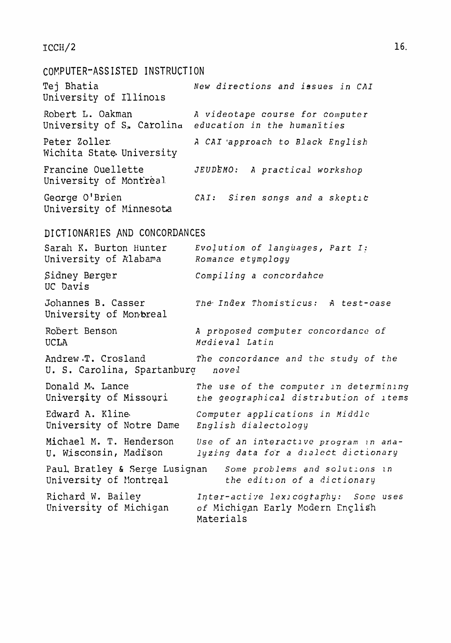#### $ICCH/2$

#### COKPUTER-ASSISTED **INSTRUCTION**

Tej Bhatia **New directions** and **issues in CAI**  University of Illinols Robert L. Oakman Manda A *videotape* course for *computer* University of *S,* Carolina **education** in *the* humanities Peter Zoller.<br>**d** *A CAI 'approach to Black English* Wichita State University Francine Ouellette *JEUDEMO:* A practical workshop University of Montreal George 0'Brien **CAI:** Siren songs and a skeptic University of Minnesota

#### **DICTIONARIES** AND CONCORDANCES

Sarah K. Burton Hunter Evolution of languages, Part I: University of Alabama *Romance etymology* Sidney Berger **UC** Davis **Compiling** *a concbrdahce*  Johannes **B.** Casser *he, Index* **Thomisf icus: A** test-case University of Montreal Robert Benson UCLA *A prbposed computer concordance* of *Medieval* Latin Andrew **T.** Crosland **he concordance and the study of the U.** S. Carolina, Spartanburq *novei!*  Donald M. Lance The use of the computer in determining University of Missouri the geographical distribution of *Items* Edward *A.* Klineb *Computer applications in* **Middle**  University *of* Notre Dame *English dialectology*  Michael M. T. Henderson Use of an interactive program in ana-**U. isc cons in,** Madi'son *lyzi~ng* **data** *fo'r* a *dlolett dictionary*  Paul, Bratley & Serge Lusignan Some problems and solutions in **University of** Kontreal **the** *edition* of *a* dictionary Richard W. Bailey *Inter-active lexicography:* Some uses<br>
University of Michigan of Michigan Early Modern English **university of Michigan** of **Michiaan** Early Fodern Enclis-h Materials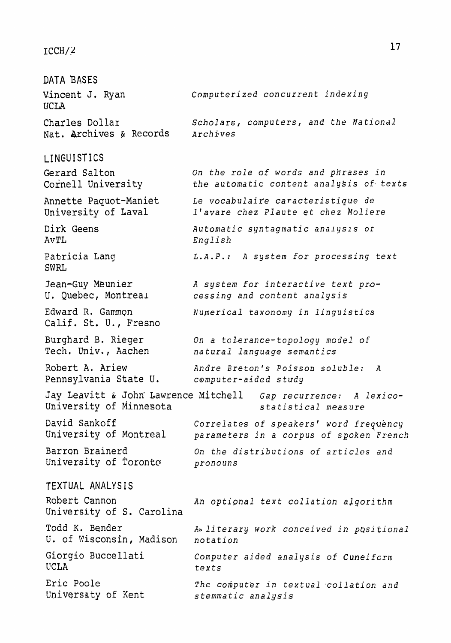#### $ICCH/2$

DATA BASES Vincent **J.** Ryan *Cornputeri zed concurrent indexing*  UCLA Charles **Dollax** *Scholars, computers, and the Fationdl*  Nat. Archives & Records *Archives* **LINGUISTICS Gerard** Salton **Cornell University**  Annette Paguot-Maniet university of Lava1 **Dirk** Geens AvTL **Patricia** Lang SWRL Jean-Guy **Meunier**  U. Quebec, **Montreal**  Edward R. Gammon Calif. St. U., Fresno Burghard B. Rieger Tech. Univ. , Aachen Robert A, **Ariew**  Pennsylvania State U. *On the role* **of** *words and phrases in the* automatic *content analysis* **of,** *texts Le vocabulaire caracteristique de l'avare chez* **Plaute** et *chez* **koliere Automatic** *syntagrnatic anal* **ysls** *or*  **English**  *L.A.P.:* **A** *system for processing text*  A *system for* **interactive text** *processing and content analysis Nugerical* **taxonomy** *in* linguistics *On a toi-erance-topology model of na tura2* **language semantics**  *Andre Breton's Poisson soluble: A*  **computer-aided** *study*  Jay **Leavitt** & **John'** Lawrence **Mitchell Gap recurrence:** d **lexico-***University* **of** ~iinnesota *statistical measure*  David Sankoff *Correlates* **of** *speakers' word* frequency University of Montreal *Deparators in a corpus of spoken French* Barron Brainerd **On the distributions of articles and** University of Toronto *pronouns* TEXTUAL ANALYS I S Robert Cannon An *optipnal text collation algorithm*  University of *S.* Carolina Todd K. Bender Ar **literary work** *conceived in positional U.* of Wisconsin, Madison *notation*  Giorgio **Buccellati**  UCLA **Computer** *aided analysis* **of** Cunei *farm*  texts Eric Poole *The computer in textual collation and* University of Kent stemmatic analysis

 $17$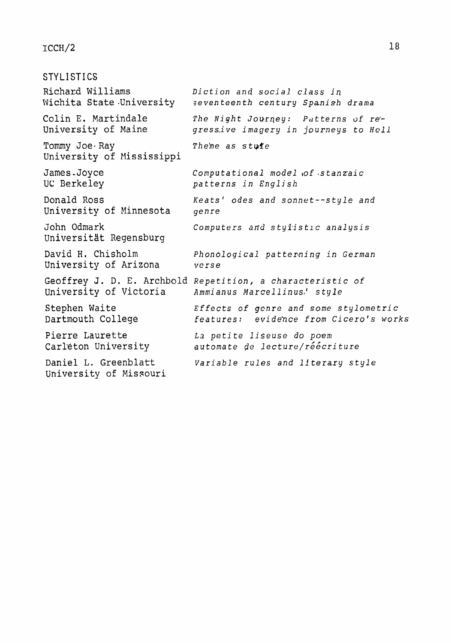#### $ICCH/2$

**STYLISTICS**  Richard **Williams** *Diction* and social *class* **iq**   $s$ eventeenth century *Spanish drama* Colin E. Martindale University of Maine *The Night Journey: Patterns of regress-ive imagery in journeys to Hell*  Tommy Joe Ray **Thehe** as stuffe University of Mississippi **James-Joyce Uc** Berkeley Donald Ross University of Minnesota John Odmark Universität Regensburg David **H, Chisholm**  University of Arizona *Computational model* **,of** *\stanzlaic patterns in English Keats' odes and sonnet--style and genre Computers* and *styJ\*ist1c* analysis *PhonologicaJ* patterning *in German verse*  Geoffrey J. D. E. Archbold *Repetition, a characteristic* of Ammianus Marcellinus.' style Stephen **Waite**  Dartmouth College Pierre Laurette Carleton University Daniel L. Greenblatt University of Missouri Effects **of genre and some** *stylometri* **c**  *features: evide'nce* from *Cicero's works La* petite *liseuse do poem automate* @e *lecture/r6&cri ture*  **Variable** *rules* **and** Literary *style*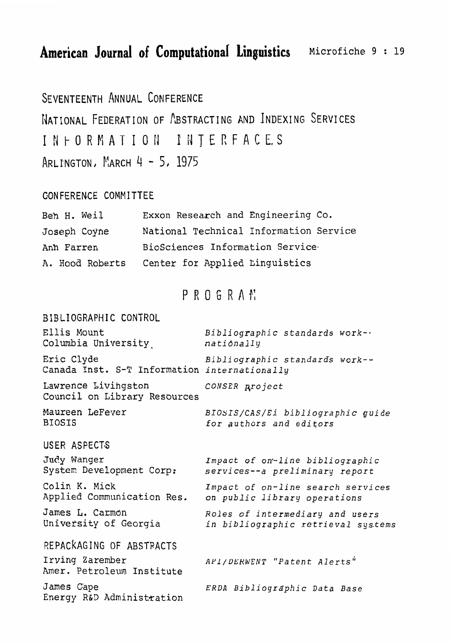SEVENTEENTH ANNUAL CONFERENCE NATIONAL FEDERATION OF ABSTRACTING AND INDEXING SERVICES INTERFACES INFORMATION ARLINGTON, MARCH 4 - 5, 1975

#### GONFERENCE COMMITTEE

| Ben H. Weil     | Exxon Research and Engineering Co.     |
|-----------------|----------------------------------------|
| Joseph Coyne    | National Technical Information Service |
| Anh Farren      | BioSciences Information Service        |
| A. Hood Roberts | Center for Applied Linguistics         |

### PROGRAM

**BIBLIOGRAPHIC** CONTROL **Ellis Mount Bibliographic** *standards* work-. Columbia University **nationally** Eric Clyde Bibliographic *standards* work--Canada Inst. S-T Information *internationally*  Lawrence Livingston *CONSER groject* **Council on** Library Resources Maureen LeFever **BIOSIS**  *BIOSIS/CAS/E~* **bibliographic guide for** *authors* and *editors*  USER ASPECTS Judy Wanger **Impact of on-line bibliographic** *Syster* **Development** Corp: *services--a preliminary* **report**  Colin **K. Mick** Impact of on-line search *services*  **Applied Communication** Res. *on public* **library operations James L. Carman** *Roles* **of** *intermediary and users*  University of **Georgia in bibliographic** retrieval sys.tems REPACKAGING OF ABSTRACTS Irving Zarember Amer. Petroleum Institute James Gape **Energy R&D Administration I**  *AYl /DLKWEiVT "Patent* Alerts" *ERDA* **Bibliographic Data** *Base*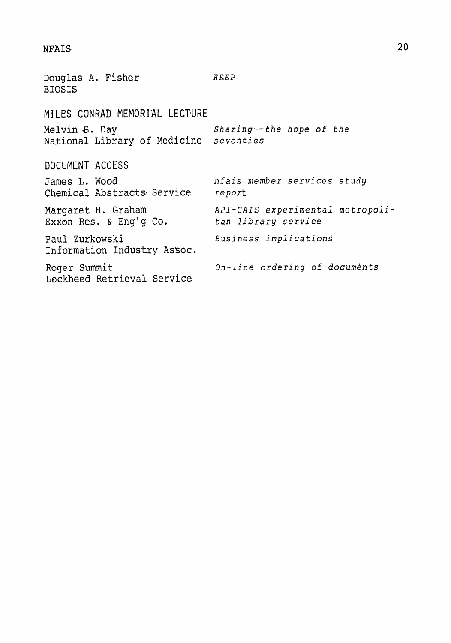#### **NFAIS**

**Douglas A. Fisher BIOSIS**  *HGEP*  MI LES CONRAD MEMORIAL LECTURE **Melvin 6.** Day Sharing--the *hope* of *the*  National Library of Medicine DOCUMENT ACCESS James L. Wood nfais *member* services study **Chemical Abstracts** Service *report*  Margaret H. Graham *API-CAIS experimental metropoli-*<br>Exxon Res. & Eng'g Co. tan library service Exxon Res. & Eng'g Co. Paul Zurkowski Business *implications* **Information Industry** Assoc. Roger Summit **Contains Con-line ordering of documents Lockheed** Retrieval Service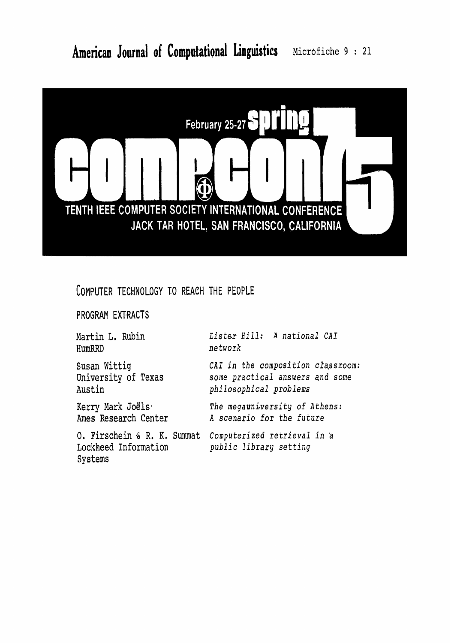

### COMPUTER TECHNOLOGY TO REACH THE PEOPLE

PROGRAM EXTRACTS

Martin **L.** Rubin **HumRRD** 

Lister **Hill: A national CAI network** 

Susan Wittig **University** of Texas **Austin** 

Kerry Mark Joëls<sup>.</sup> **Anes** Research Center

Lockheed Information public library *setting*  Systems

CAI in the composition classroom: some practical ansuers and some **philosophical** *problems* 

The megauniversity of Athens: **<sup>A</sup>**scenario for the future

0. **Firschein 61** R. **K.** Summat **Computerized** retrieval **in** 'tl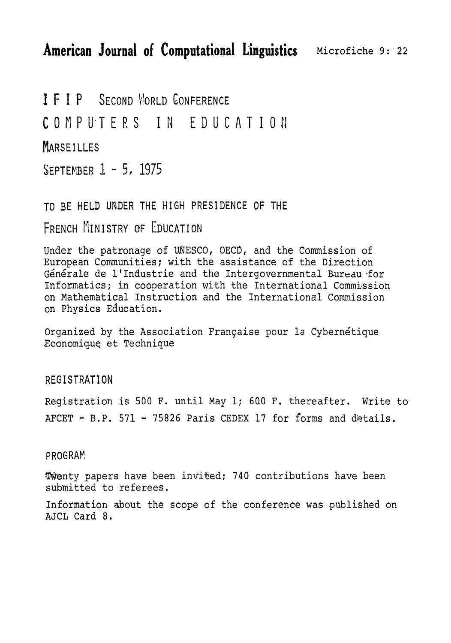I F I P SECOND WORLD CONFERENCE COMPUTERS IN EDUCATION **MARSEILLES** SEPTEMBER 1 - 5, 1975

**TO** BE HELD **UNDER THE** HIGH **PRESIDENCE OF THE** 

FRENCH MINISTRY OF EDUCATION

**Under the** patronage **of UNESCO, OECD, and the** Commission **of European Communities; with** the **assistance of the Direction ~Qne'rale de llIndustrie** and **the Intergovernmental** Bureau **\*for**  Informatics; in cooperation with the International Commission **on** Mathematical ~nsiruction **and** the **International Commission**  on Physics Education.

Organized by the Association Française pour la Cybernetique **Economiquq et** Technique

REG **I STRATI ON** 

**Registration is 500 F. until May 1;** 600 **Fa thereafter. Write to AFCET** - **B.P.** <sup>571</sup>- <sup>75826</sup>**Paris CEDEX** 17 **for** forms **and** details.

PROGRAM

-Wenty papers have been ingitied; 740 contributions **have** been **submitted to** referees.

**Information** xbout **the scope of the** conference **was** published on AJCL Card 8.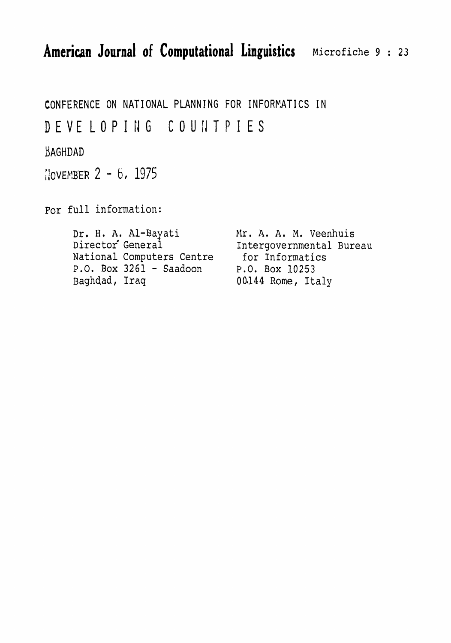CONFERENCE ON NATIONAL PLANNING **FOR INFORKATICS** IN

DEVE LOPIIIG COUilTPIES

BAGHDAD

 $10VENBER$  2 - 6, 1975

For **full information:** 

**Dr. H, A.** Al-Bayati blr. **A.** A. M. **Veenhuis**  National Computers Centre for Information<br>
P.O. Box 3261 - Saadoon P.O. Box 10253 P.O. Box 3261 - Saadoon<br>Baghdad, Iraq

Intergovernmental Bureau<br>for Informatics 00144 Rome, Italy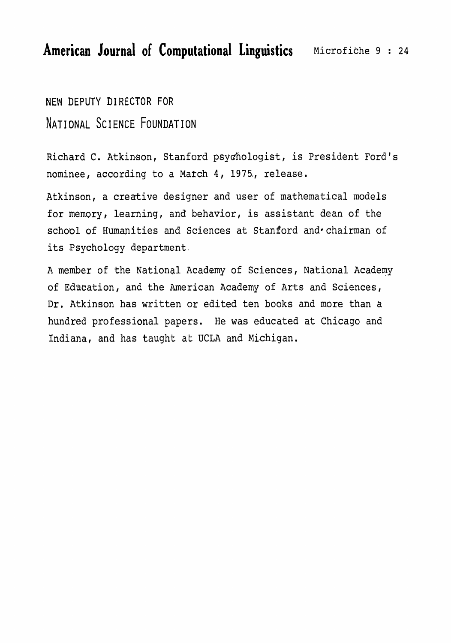**NEW** DEPUTY **DIRECTOR** FOR **NATI** ONAL **SCI** ENCE **FOUNDATION** 

Richard C. Atkinson, Stanford psychologist, is President Ford's nominee, according to a March 4, 1975., release.

Atkinson, a creative **designer** and user **of** mathematical **models**  for memgry, learning, and behavior, is assistant dean of the school of Humanities and Sciences at Stanford and chairman of its **Psychology department** 

**<sup>A</sup>member** of the **National Academy** of Sciences, National Academy of Education, and the American Academy of **Arts** and Sciences, Dr. Atkinson has written or edited **ten books** and more than a hundred professional papers. He **was** educated at Chicago and Indiana, and has taught at UCLA and Michigan.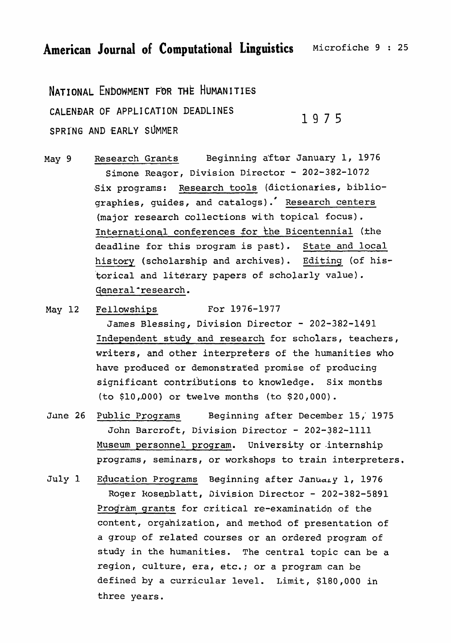NATIONAL ENDOWMENT FOR THE HUMANITIES **CALENDAR OF** APP-LI **CAT1 ON DEADLINES SPRING AND** EARLY SUMMER

1975

May 9 Research Grants **Beginning after January 1, 1976** Simone Reagor, Division Director - 202-382-1072 **Six programs:** <u>Research tools</u> (dictionaries, biblio-<br>graphies, guides, and catalogs). Research centers (major **research** collections **with** topical focus) . International conferences for the Bicentennial (the **deadline** for **this** program **is past). State and local**  history **(scholarship and** archives). **Editing (of his**torical and literary **papers** of scholarly **value).**  General \*research.

May 12 Fellowships **For 1976-1977** 

**James Blessing,** Division **Director** - **202-382-1491**  Independent study and research **for scholars, teachers, writers, and** other **interpreters** of the **humanities who**  have **produced** or demonstrated promise of **producing significant contributions to knowledge.** Six months **(to** \$10 **,d00)** or **twelve months (to** \$20,000).

- June 26 Public **Programs Beginning after December 15** ,' <sup>1975</sup> John Barcroft, Division Director - 202-382-1111 Museum personnel program. **University** or -internship programs, **seminars,** or **workshops** to **train** interpreters.
- July 1 Education Programs Beginning after January 1, 1976 Roger Rosenblatt, Division Director - 202-382-5891 Program grants for critical re-examination of the **content,** orgahization, and **method** of presentation of a group **of related courses or an ordered program of study in the humanities. The central topic can be a**  region, **culture, era, etc.;** or a program can be **defined by a** curr-icular **level.** Limit, \$180,000 in **three years.**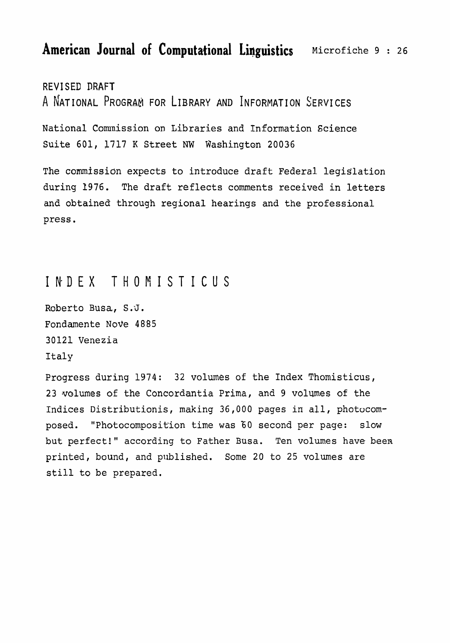REV1 SED **DRAFT**  A NATIONAL PROGRAM FOR LIBRARY AND INFORMATION SERVICES

National **Comnission on** Libraries and Information Science Suite 601, 1717 K Street NW Washington 20036

The commission expects to introduce draft Federal legislation during **1976. The** draft reflects **comments** received in letters **and obtained through regional** hearings **and** the **professional press,** 

### INDEX **THORISTICUS**

Roberto **Busa,** S:J. **Fondamente NoVe** 4885 **30121** Venezia Italy

Progress during 1974: **32 volumes** of **the Index** Thomisticus, 23 volumes of the **Concordantia** Prima, and 9 **volumes of the**  Indices Distributionis, **making** 36,000 pages **in all, photucom**posed. "Photocomposit'ion time **was 60** second per page: slow **but** perfect!'' **according** to Father **Busa.** Ten volumes **have been**  printed, bound, and published. **Some** 20 to 25 volumes are **still to be** prepared.